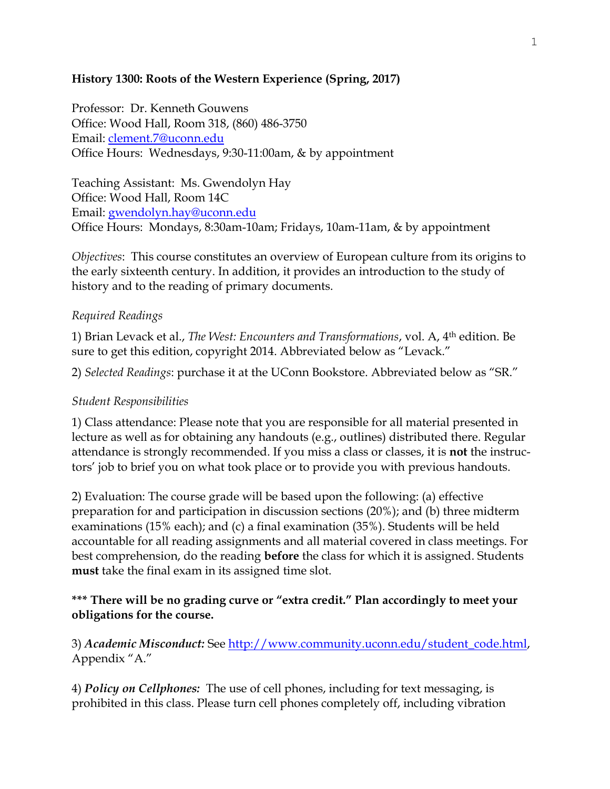## **History 1300: Roots of the Western Experience (Spring, 2017)**

Professor: Dr. Kenneth Gouwens Office: Wood Hall, Room 318, (860) 486-3750 Email: [clement.7@uconn.edu](mailto:clement.7@uconn.edu) Office Hours: Wednesdays, 9:30-11:00am, & by appointment

Teaching Assistant: Ms. Gwendolyn Hay Office: Wood Hall, Room 14C Email: [gwendolyn.hay@uconn.edu](mailto:gwendolyn.hay@uconn.edu) Office Hours: Mondays, 8:30am-10am; Fridays, 10am-11am, & by appointment

*Objectives*: This course constitutes an overview of European culture from its origins to the early sixteenth century. In addition, it provides an introduction to the study of history and to the reading of primary documents.

## *Required Readings*

1) Brian Levack et al., *The West: Encounters and Transformations*, vol. A, 4th edition. Be sure to get this edition, copyright 2014. Abbreviated below as "Levack."

2) *Selected Readings*: purchase it at the UConn Bookstore. Abbreviated below as "SR."

## *Student Responsibilities*

1) Class attendance: Please note that you are responsible for all material presented in lecture as well as for obtaining any handouts (e.g., outlines) distributed there. Regular attendance is strongly recommended. If you miss a class or classes, it is **not** the instructors' job to brief you on what took place or to provide you with previous handouts.

2) Evaluation: The course grade will be based upon the following: (a) effective preparation for and participation in discussion sections (20%); and (b) three midterm examinations (15% each); and (c) a final examination (35%). Students will be held accountable for all reading assignments and all material covered in class meetings. For best comprehension, do the reading **before** the class for which it is assigned. Students **must** take the final exam in its assigned time slot.

## **\*\*\* There will be no grading curve or "extra credit." Plan accordingly to meet your obligations for the course.**

3) *Academic Misconduct:* See [http://www.community.uconn.edu/student\\_code.html,](http://www.community.uconn.edu/student_code.html) Appendix "A."

4) *Policy on Cellphones:* The use of cell phones, including for text messaging, is prohibited in this class. Please turn cell phones completely off, including vibration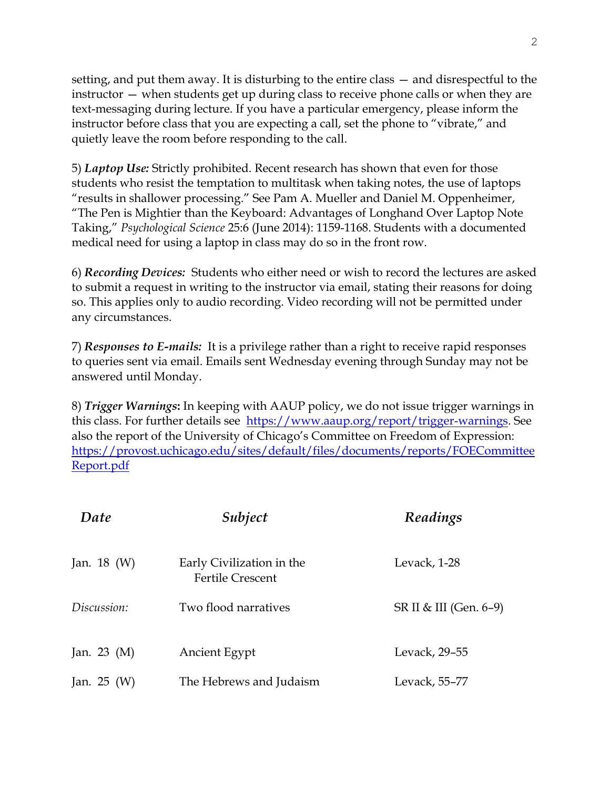setting, and put them away. It is disturbing to the entire class — and disrespectful to the instructor — when students get up during class to receive phone calls or when they are text-messaging during lecture. If you have a particular emergency, please inform the instructor before class that you are expecting a call, set the phone to "vibrate," and quietly leave the room before responding to the call.

5) *Laptop Use:* Strictly prohibited. Recent research has shown that even for those students who resist the temptation to multitask when taking notes, the use of laptops "results in shallower processing." See Pam A. Mueller and Daniel M. Oppenheimer, "The Pen is Mightier than the Keyboard: Advantages of Longhand Over Laptop Note Taking," *Psychological Science* 25:6 (June 2014): 1159-1168. Students with a documented medical need for using a laptop in class may do so in the front row.

6) *Recording Devices:* Students who either need or wish to record the lectures are asked to submit a request in writing to the instructor via email, stating their reasons for doing so. This applies only to audio recording. Video recording will not be permitted under any circumstances.

7) *Responses to E-mails:* It is a privilege rather than a right to receive rapid responses to queries sent via email. Emails sent Wednesday evening through Sunday may not be answered until Monday.

8) *Trigger Warnings***:** In keeping with AAUP policy, we do not issue trigger warnings in this class. For further details see [https://www.aaup.org/report/trigger-warnings.](https://www.aaup.org/report/trigger-warnings) See also the report of the University of Chicago's Committee on Freedom of Expression: [https://provost.uchicago.edu/sites/default/files/documents/reports/FOECommittee](https://provost.uchicago.edu/sites/default/files/documents/reports/FOECommitteeReport.pdf) [Report.pdf](https://provost.uchicago.edu/sites/default/files/documents/reports/FOECommitteeReport.pdf)

| Date             | Subject                                              | Readings               |
|------------------|------------------------------------------------------|------------------------|
| Jan. $18 \, (W)$ | Early Civilization in the<br><b>Fertile Crescent</b> | Levack, 1-28           |
| Discussion:      | Two flood narratives                                 | SR II & III (Gen. 6-9) |
| Jan. 23 $(M)$    | <b>Ancient Egypt</b>                                 | Levack, 29-55          |
| Jan. $25 \, (W)$ | The Hebrews and Judaism                              | Levack, 55-77          |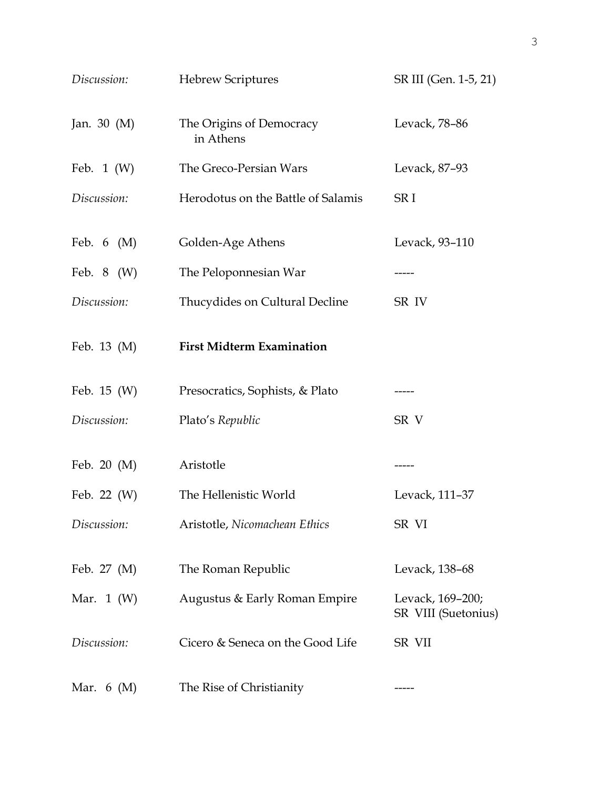| Discussion:      | <b>Hebrew Scriptures</b>              | SR III (Gen. 1-5, 21)                   |
|------------------|---------------------------------------|-----------------------------------------|
| Jan. $30 \, (M)$ | The Origins of Democracy<br>in Athens | Levack, 78-86                           |
| Feb. $1(W)$      | The Greco-Persian Wars                | Levack, 87-93                           |
| Discussion:      | Herodotus on the Battle of Salamis    | SR I                                    |
| Feb. $6 \, (M)$  | Golden-Age Athens                     | Levack, 93-110                          |
| Feb. $8$ (W)     | The Peloponnesian War                 |                                         |
| Discussion:      | Thucydides on Cultural Decline        | SR IV                                   |
| Feb. $13 \ (M)$  | <b>First Midterm Examination</b>      |                                         |
| Feb. 15 (W)      | Presocratics, Sophists, & Plato       |                                         |
| Discussion:      | Plato's Republic                      | SR V                                    |
| Feb. $20 \, (M)$ | Aristotle                             |                                         |
| Feb. $22 \, (W)$ | The Hellenistic World                 | Levack, 111-37                          |
| Discussion:      | Aristotle, Nicomachean Ethics         | SR VI                                   |
| Feb. 27 (M)      | The Roman Republic                    | Levack, 138–68                          |
| Mar. $1 (W)$     | Augustus & Early Roman Empire         | Levack, 169-200;<br>SR VIII (Suetonius) |
| Discussion:      | Cicero & Seneca on the Good Life      | SR VII                                  |
| Mar. $6 \ (M)$   | The Rise of Christianity              | -----                                   |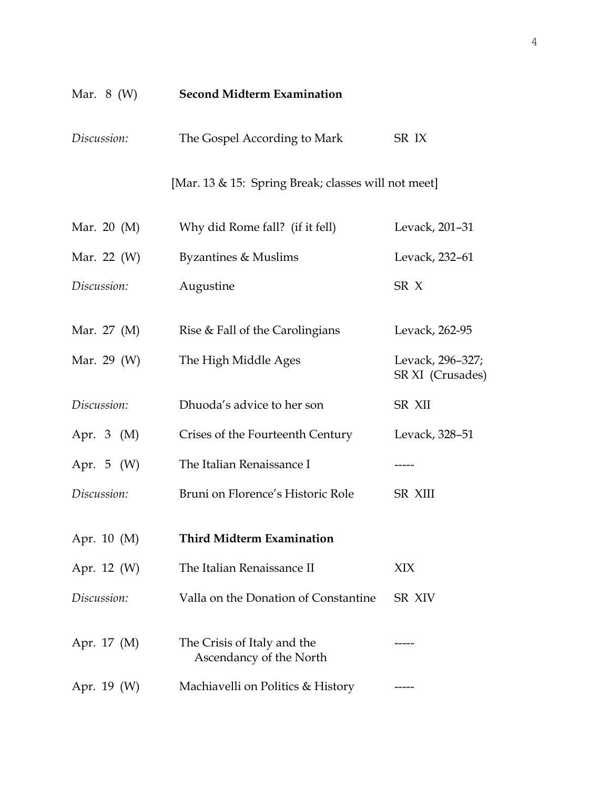| Mar. $8 \ (W)$ | <b>Second Midterm Examination</b>                      |                                      |
|----------------|--------------------------------------------------------|--------------------------------------|
| Discussion:    | The Gospel According to Mark                           | SR IX                                |
|                | [Mar. 13 & 15: Spring Break; classes will not meet]    |                                      |
| Mar. 20 $(M)$  | Why did Rome fall? (if it fell)                        | Levack, 201-31                       |
| Mar. 22 (W)    | Byzantines & Muslims                                   | Levack, 232-61                       |
| Discussion:    | Augustine                                              | SR <sub>X</sub>                      |
| Mar. 27 (M)    | Rise & Fall of the Carolingians                        | Levack, 262-95                       |
| Mar. 29 $(W)$  | The High Middle Ages                                   | Levack, 296-327;<br>SR XI (Crusades) |
| Discussion:    | Dhuoda's advice to her son                             | SR XII                               |
| Apr. 3 (M)     | Crises of the Fourteenth Century                       | Levack, 328-51                       |
| Apr. $5 \ (W)$ | The Italian Renaissance I                              |                                      |
| Discussion:    | Bruni on Florence's Historic Role                      | <b>SR XIII</b>                       |
| Apr. 10 (M)    | <b>Third Midterm Examination</b>                       |                                      |
| Apr. 12 (W)    | The Italian Renaissance II                             | XIX                                  |
| Discussion:    | Valla on the Donation of Constantine                   | SR XIV                               |
| Apr. 17 (M)    | The Crisis of Italy and the<br>Ascendancy of the North |                                      |
| Apr. 19 (W)    | Machiavelli on Politics & History                      |                                      |